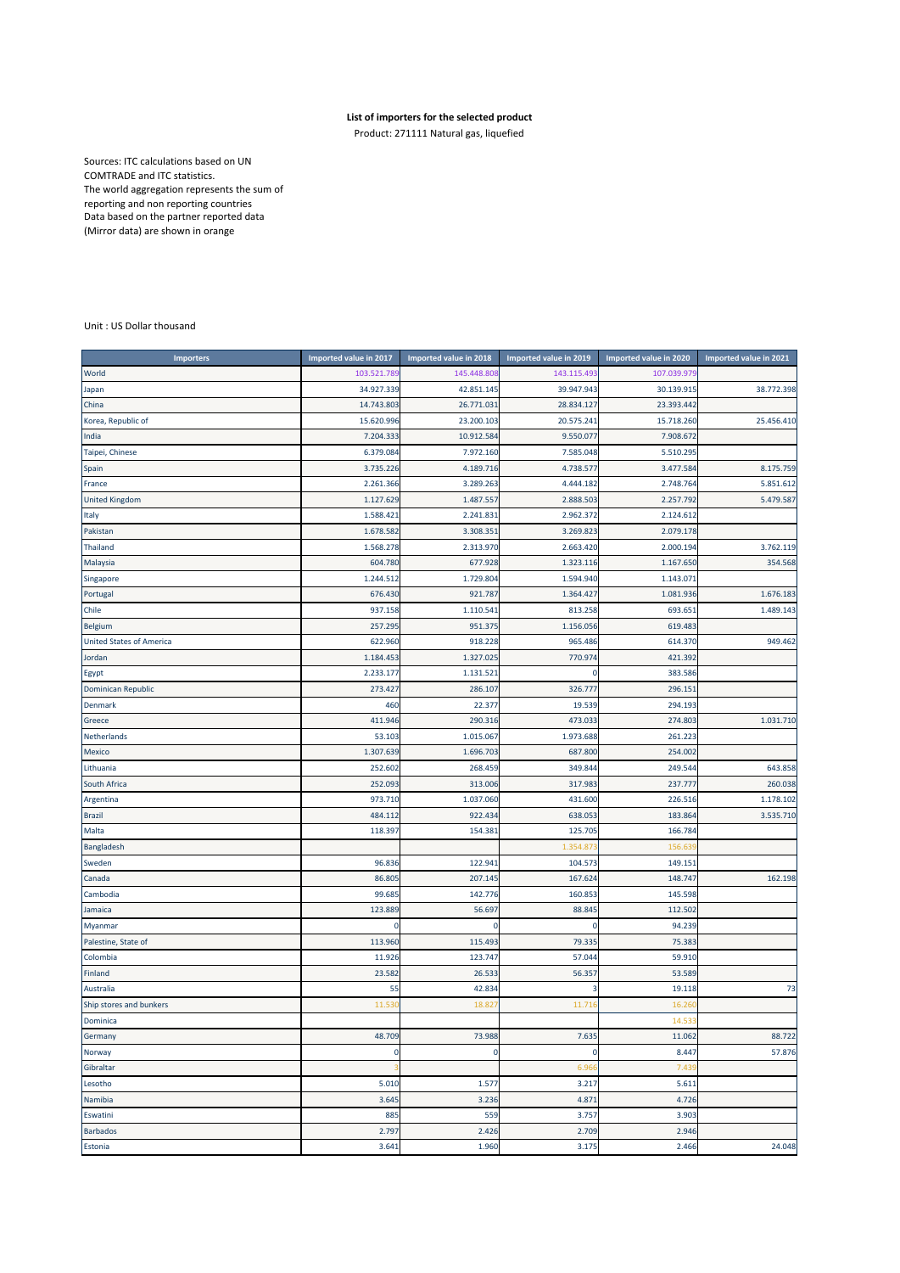## **List of importers for the selected product**

Product: 271111 Natural gas, liquefied

Sources: ITC calculations based on UN COMTRADE and ITC statistics. The world aggregation represents the sum of reporting and non reporting countries Data based on the partner reported data (Mirror data) are shown in orange

## Unit : US Dollar thousand

| <b>Importers</b>                | Imported value in 2017 | Imported value in 2018 | Imported value in 2019 | Imported value in 2020 | Imported value in 2021 |
|---------------------------------|------------------------|------------------------|------------------------|------------------------|------------------------|
| World                           | 103.521.789            | 145.448.808            | 143.115.493            | 107.039.97             |                        |
| Japan                           | 34.927.339             | 42.851.145             | 39.947.943             | 30.139.915             | 38.772.398             |
| China                           | 14.743.803             | 26.771.031             | 28.834.127             | 23.393.442             |                        |
| Korea, Republic of              | 15.620.996             | 23.200.103             | 20.575.241             | 15.718.260             | 25.456.410             |
| India                           | 7.204.333              | 10.912.584             | 9.550.077              | 7.908.672              |                        |
| Taipei, Chinese                 | 6.379.084              | 7.972.160              | 7.585.048              | 5.510.295              |                        |
| Spain                           | 3.735.226              | 4.189.716              | 4.738.577              | 3.477.584              | 8.175.759              |
| France                          | 2.261.366              | 3.289.263              | 4.444.182              | 2.748.764              | 5.851.612              |
| <b>United Kingdom</b>           | 1.127.629              | 1.487.557              | 2.888.503              | 2.257.79               | 5.479.587              |
| Italy                           | 1.588.42               | 2.241.831              | 2.962.372              | 2.124.612              |                        |
| Pakistan                        | 1.678.582              | 3.308.351              | 3.269.823              | 2.079.178              |                        |
| <b>Thailand</b>                 | 1.568.278              | 2.313.970              | 2.663.420              | 2.000.19               | 3.762.119              |
| Malaysia                        | 604.780                | 677.928                | 1.323.116              | 1.167.650              | 354.568                |
| Singapore                       | 1.244.512              | 1.729.804              | 1.594.940              | 1.143.071              |                        |
| Portugal                        | 676.430                | 921.787                | 1.364.427              | 1.081.936              | 1.676.183              |
| Chile                           | 937.158                | 1.110.541              | 813.258                | 693.65                 | 1.489.143              |
| <b>Belgium</b>                  | 257.295                | 951.375                | 1.156.056              | 619.483                |                        |
| <b>United States of America</b> | 622.960                | 918.228                | 965.486                | 614.370                | 949.462                |
| Jordan                          | 1.184.453              | 1.327.025              | 770.974                | 421.392                |                        |
| Egypt                           | 2.233.17               | 1.131.521              | $\mathbf 0$            | 383.586                |                        |
| Dominican Republic              | 273.427                | 286.107                | 326.777                | 296.151                |                        |
| <b>Denmark</b>                  | 460                    | 22.377                 | 19.539                 | 294.193                |                        |
| Greece                          | 411.946                | 290.316                | 473.033                | 274.803                | 1.031.710              |
| Netherlands                     | 53.103                 | 1.015.067              | 1.973.688              | 261.223                |                        |
| Mexico                          | 1.307.639              | 1.696.703              | 687.800                | 254.002                |                        |
| Lithuania                       | 252.602                | 268.459                | 349.844                | 249.544                | 643.858                |
| South Africa                    | 252.093                | 313.006                | 317.983                | 237.777                | 260.038                |
| Argentina                       | 973.710                | 1.037.060              | 431.600                | 226.516                | 1.178.102              |
| <b>Brazil</b>                   | 484.112                | 922.434                | 638.053                | 183.864                | 3.535.710              |
| Malta                           | 118.397                | 154.381                | 125.705                | 166.784                |                        |
| Bangladesh                      |                        |                        | 1.354.87               | 156.63                 |                        |
| Sweden                          | 96.836                 | 122.941                | 104.573                | 149.151                |                        |
| Canada                          | 86.805                 | 207.145                | 167.624                | 148.747                | 162.198                |
| Cambodia                        | 99.68                  | 142.776                | 160.853                | 145.598                |                        |
| Jamaica                         | 123.889                | 56.697                 | 88.845                 | 112.502                |                        |
| Myanmar                         |                        |                        | 0                      | 94.239                 |                        |
| Palestine, State of             | 113.960                | 115.493                | 79.335                 | 75.383                 |                        |
| Colombia                        | 11.926                 | 123.747                | 57.044                 | 59.910                 |                        |
| Finland                         | 23.582                 | 26.533                 | 56.357                 | 53.589                 |                        |
| Australia                       | 55                     | 42.834                 | 3                      | 19.118                 | 73                     |
| Ship stores and bunkers         | 11.53                  | 18.82                  | 11.716                 | 16.26                  |                        |
| Dominica                        |                        |                        |                        | 14.53                  |                        |
| Germany                         | 48.709                 | 73.988                 | 7.635                  | 11.062                 | 88.722                 |
| Norway                          | 0                      | 0                      | 0                      | 8.447                  | 57.876                 |
| Gibraltar                       |                        |                        | 6.966                  | 7.43                   |                        |
| Lesotho                         | 5.010                  | 1.577                  | 3.217                  | 5.611                  |                        |
| Namibia                         | 3.645                  | 3.236                  | 4.871                  | 4.726                  |                        |
| Eswatini                        | 885                    | 559                    | 3.757                  | 3.903                  |                        |
| <b>Barbados</b>                 | 2.797                  | 2.426                  | 2.709                  | 2.946                  |                        |
| Estonia                         | 3.641                  | 1.960                  | 3.175                  | 2.466                  | 24.048                 |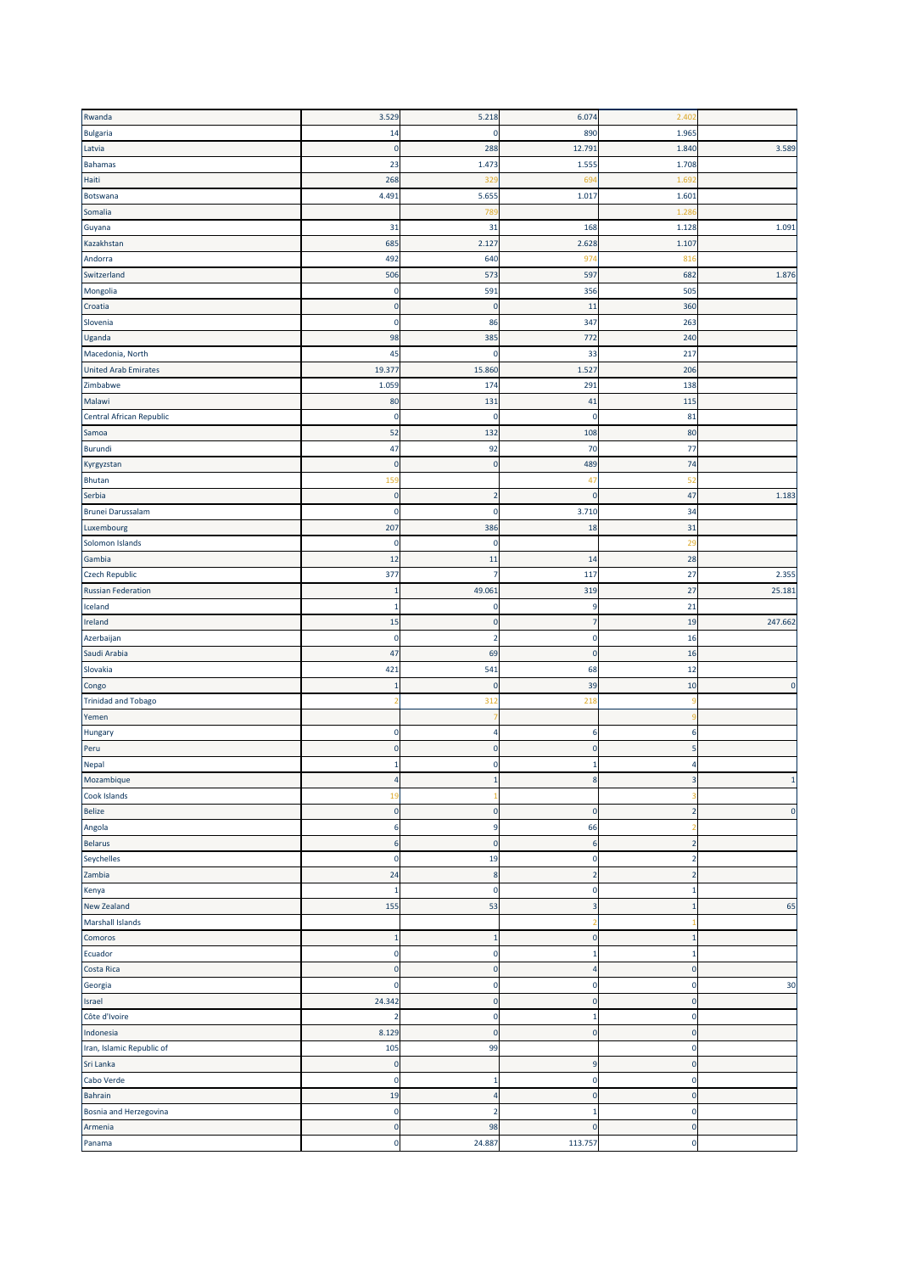| Rwanda                      | 3.529                   | 5.218                   | 6.074                   | 2.402          |              |
|-----------------------------|-------------------------|-------------------------|-------------------------|----------------|--------------|
| <b>Bulgaria</b>             | 14                      | 0                       | 890                     | 1.965          |              |
| Latvia                      | $\overline{0}$          | 288                     | 12.79                   | 1.840          | 3.589        |
| <b>Bahamas</b>              | 23                      | 1.473                   | 1.555                   | 1.708          |              |
| Haiti                       | 268                     | 329                     | 694                     | 1.69           |              |
| Botswana                    | 4.491                   | 5.655                   | 1.017                   | 1.601          |              |
| Somalia                     |                         | 789                     |                         | 1.28           |              |
| Guyana                      | 31                      | 31                      | 168                     | 1.128          | 1.091        |
| Kazakhstan                  | 685                     | 2.127                   | 2.628                   | 1.107          |              |
| Andorra                     | 492                     | 640                     | 974                     | 81             |              |
| Switzerland                 | 506                     | 573                     | 597                     | 682            | 1.876        |
| Mongolia                    | $\overline{0}$          | 591                     | 356                     | 505            |              |
| Croatia                     | $\mathbf 0$             | $\pmb{0}$               | 11                      | 360            |              |
| Slovenia                    | $\mathbf 0$             | 86                      | 347                     | 263            |              |
|                             | 98                      |                         | 772                     | 240            |              |
| Uganda                      |                         | 385                     |                         |                |              |
| Macedonia, North            | 45                      | 0                       | 33                      | 217            |              |
| <b>United Arab Emirates</b> | 19.377                  | 15.860                  | 1.527                   | 206            |              |
| Zimbabwe                    | 1.059                   | 174                     | 291                     | 138            |              |
| Malawi                      | 80                      | 131                     | 41                      | 115            |              |
| Central African Republic    | 0                       | 0                       | $\mathbf 0$             | 81             |              |
| Samoa                       | 52                      | 132                     | 108                     | 80             |              |
| Burundi                     | 47                      | 92                      | 70                      | 77             |              |
| Kyrgyzstan                  | $\mathbf 0$             | $\pmb{0}$               | 489                     | 74             |              |
| <b>Bhutan</b>               | 159                     |                         | 47                      | 52             |              |
| Serbia                      | $\mathbf 0$             | $\overline{2}$          | $\overline{0}$          | 47             | 1.183        |
| <b>Brunei Darussalam</b>    | $\overline{0}$          | 0                       | 3.710                   | 34             |              |
| Luxembourg                  | 207                     | 386                     | 18                      | 31             |              |
| Solomon Islands             | $\overline{0}$          | 0                       |                         | 2S             |              |
| Gambia                      | 12                      | 11                      | 14                      | 28             |              |
| <b>Czech Republic</b>       | 377                     | 7                       | 117                     | 27             | 2.355        |
| <b>Russian Federation</b>   | $\overline{1}$          | 49.061                  | 319                     | 27             | 25.181       |
| Iceland                     | $\mathbf{1}$            | 0                       | $9\,$                   | 21             |              |
| Ireland                     | 15                      | $\pmb{0}$               | $\overline{7}$          | 19             | 247.662      |
| Azerbaijan                  | $\overline{0}$          | $\overline{\mathbf{2}}$ | $\mathbf 0$             | 16             |              |
| Saudi Arabia                | 47                      | 69                      | $\mathbf 0$             | 16             |              |
| Slovakia                    | 421                     | 541                     | 68                      | 12             |              |
| Congo                       | $\mathbf{1}$            | $\pmb{0}$               | 39                      | 10             | $\mathbf 0$  |
|                             |                         |                         |                         |                |              |
| <b>Trinidad and Tobago</b>  | -2                      | 312                     | 218                     |                |              |
| Yemen                       |                         |                         |                         |                |              |
| Hungary                     | $\overline{0}$          | 4                       | 6                       | $\epsilon$     |              |
| Peru                        | $\mathbf 0$             | $\pmb{0}$               | $\mathbf 0$             | 5              |              |
| Nepal                       | $\mathbf{1}$            | 0                       | $\mathbf{1}$            | Z              |              |
| Mozambique                  | $\overline{4}$          | $\mathbf{1}$            | $\boldsymbol{8}$        | 3              | $\mathbf{1}$ |
| Cook Islands                | 19                      |                         |                         |                |              |
| <b>Belize</b>               | $\pmb{0}$               | $\pmb{0}$               | $\mathbf 0$             | $\overline{2}$ | $\pmb{0}$    |
| Angola                      | 6                       | 9                       | 66                      |                |              |
| <b>Belarus</b>              | $6\phantom{1}6$         | $\pmb{0}$               | $6\phantom{1}6$         | $\overline{2}$ |              |
| Seychelles                  | $\mathbf 0$             | 19                      | $\mathbf 0$             | 2              |              |
| Zambia                      | 24                      | $\bf 8$                 | $\overline{2}$          | $\overline{2}$ |              |
| Kenya                       | $\mathbf{1}$            | $\pmb{0}$               | $\mathbf 0$             | 1              |              |
| New Zealand                 | 155                     | 53                      | $\overline{\mathbf{3}}$ | $\mathbf{1}$   | 65           |
| <b>Marshall Islands</b>     |                         |                         | 2                       |                |              |
| Comoros                     | $\mathbf{1}$            | $\mathbf{1}$            | $\mathbf 0$             | $\mathbf{1}$   |              |
| Ecuador                     | $\mathbf 0$             | 0                       | $\mathbf{1}$            | 1              |              |
| Costa Rica                  | $\overline{\mathbf{0}}$ | $\pmb{0}$               | $\overline{4}$          | $\pmb{0}$      |              |
| Georgia                     | $\mathbf 0$             | $\pmb{0}$               | $\mathbf 0$             | $\epsilon$     | 30           |
| Israel                      | 24.342                  | $\pmb{0}$               | $\mathbf 0$             | $\overline{0}$ |              |
| Côte d'Ivoire               | $\overline{2}$          | $\pmb{0}$               | $\mathbf 1$             | $\overline{0}$ |              |
| Indonesia                   | 8.129                   | $\pmb{0}$               | $\mathbf 0$             | $\mathbf 0$    |              |
| Iran, Islamic Republic of   | 105                     | 99                      |                         | $\overline{0}$ |              |
| Sri Lanka                   |                         |                         |                         | $\overline{0}$ |              |
|                             | $\mathbf 0$             |                         | $\overline{9}$          |                |              |
| Cabo Verde                  | $\overline{0}$          | $\mathbf{1}$            | $\mathbf 0$             | $\overline{0}$ |              |
| <b>Bahrain</b>              | 19                      | $\sqrt{4}$              | $\pmb{0}$               | $\overline{0}$ |              |
| Bosnia and Herzegovina      | $\mathbf 0$             | $\overline{2}$          | $\mathbf{1}$            | $\mathbf 0$    |              |
| Armenia                     | $\mathbf 0$             | 98                      | $\mathbf 0$             | $\mathbf 0$    |              |
| Panama                      | $\pmb{0}$               | 24.887                  | 113.757                 | $\mathbf 0$    |              |